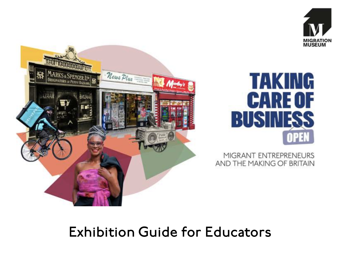



# **TAKING CARE OF BUSINES**

MIGRANT ENTREPRENEURS AND THE MAKING OF BRITAIN

### Exhibition Guide for Educators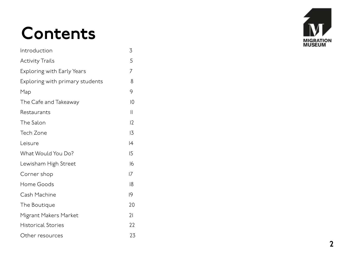### Contents

| Introduction                      | 3             |
|-----------------------------------|---------------|
| <b>Activity Trails</b>            | 5             |
| <b>Exploring with Early Years</b> | 7             |
| Exploring with primary students   | 8             |
| Map                               | 9             |
| The Cafe and Takeaway             | $ 0\rangle$   |
| Restaurants                       | $\mathcal{L}$ |
| The Salon                         | 12            |
| Tech Zone                         | 13            |
| Leisure                           | 4             |
| What Would You Do?                | 15            |
| Lewisham High Street              | 16            |
| Corner shop                       | 7             |
| Home Goods                        | 18            |
| Cash Machine                      | 19            |
| The Boutique                      | 20            |
| Migrant Makers Market             | 21            |
| <b>Historical Stories</b>         | 22            |
| Other resources                   | 23            |

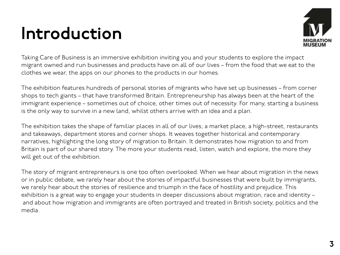### Introduction



Taking Care of Business is an immersive exhibition inviting you and your students to explore the impact migrant owned and run businesses and products have on all of our lives – from the food that we eat to the clothes we wear, the apps on our phones to the products in our homes.

The exhibition features hundreds of personal stories of migrants who have set up businesses – from corner shops to tech giants – that have transformed Britain. Entrepreneurship has always been at the heart of the immigrant experience – sometimes out of choice, other times out of necessity. For many, starting a business is the only way to survive in a new land, whilst others arrive with an idea and a plan.

The exhibition takes the shape of familiar places in all of our lives; a market place, a high-street, restaurants and takeaways, department stores and corner shops. It weaves together historical and contemporary narratives, highlighting the long story of migration to Britain. It demonstrates how migration to and from Britain is part of our shared story. The more your students read, listen, watch and explore, the more they will get out of the exhibition.

The story of migrant entrepreneurs is one too often overlooked. When we hear about migration in the news or in public debate, we rarely hear about the stories of impactful businesses that were built by immigrants, we rarely hear about the stories of resilience and triumph in the face of hostility and prejudice. This exhibition is a great way to engage your students in deeper discussions about migration, race and identity – and about how migration and immigrants are often portrayed and treated in British society, politics and the media.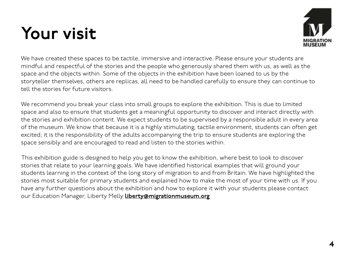### Your visit



We have created these spaces to be tactile, immersive and interactive. Please ensure your students are mindful and respectful of the stories and the people who generously shared them with us, as well as the space and the objects within. Some of the objects in the exhibition have been loaned to us by the storyteller themselves, others are replicas, all need to be handled carefully to ensure they can continue to tell the stories for future visitors.

We recommend you break your class into small groups to explore the exhibition. This is due to limited space and also to ensure that students get a meaningful opportunity to discover and interact directly with the stories and exhibition content. We expect students to be supervised by a responsible adult in every area of the museum. We know that because it is a highly stimulating, tactile environment, students can often get excited; it is the responsibility of the adults accompanying the trip to ensure students are exploring the space sensibly and are encouraged to read and listen to the stories within.

This exhibition guide is designed to help you get to know the exhibition, where best to look to discover stories that relate to your learning goals. We have identified historical examples that will ground your students learning in the context of the long story of migration to and from Britain. We have highlighted the stories most suitable for primary students and explained how to make the most of your time with us. If you have any further questions about the exhibition and how to explore it with your students please contact our Education Manager, Liberty Melly *Liberty@migrationmuseum.org*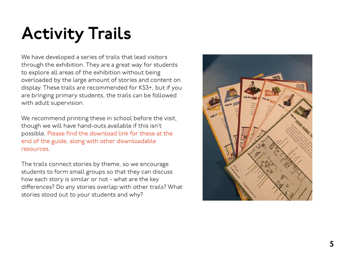### Activity Trails

We have developed a series of trails that lead visitors through the exhibition. They are a great way for students to explore all areas of the exhibition without being overloaded by the large amount of stories and content on display. These trails are recommended for KS3+, but if you are bringing primary students, the trails can be followed with adult supervision.

We recommend printing these in school before the visit, though we will have hand-outs available if this isn't possible. Please find the download link for these at the end of the guide, along with other downloadable resources.

The trails connect stories by theme, so we encourage students to form small groups so that they can discuss how each story is similar or not - what are the key diferences? Do any stories overlap with other trails? What stories stood out to your students and why?

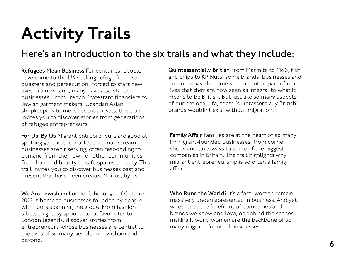### Activity Trails

#### Here's an introduction to the six trails and what they include:

Refugees Mean Business For centuries, people have come to the UK seeking refuge from war, disasters and persecution. Forced to start new lives in a new land, many have also started businesses. From French Protestant financiers to Jewish garment makers, Ugandan Asian shopkeepers to more recent arrivals, this trail invites you to discover stories from generations of refugee entrepreneurs.

For Us, By Us Migrant entrepreneurs are good at spoting gaps in the market that mainstream businesses aren't serving, often responding to demand from their own or other communities. From hair and beauty to safe spaces to party. This trail invites you to discover businesses past and present that have been created 'for us, by us'.

We Are Lewisham London's Borough of Culture 2022 is home to businesses founded by people with roots spanning the globe. From fashion labels to greasy spoons, local favourites to London legends, discover stories from entrepreneurs whose businesses are central to the lives of so many people in Lewisham and beyond. 6

Quintessentially British From Marmite to M&S, fish and chips to KP Nuts, some brands, businesses and products have become such a central part of our lives that they are now seen as integral to what it means to be British. But just like so many aspects of our national life, these 'quintessentially British' brands wouldn't exist without migration.

**Family Affair** Families are at the heart of so many immigrant-founded businesses, from corner shops and takeaways to some of the biggest companies in Britain. The trail highlights why migrant entrepreneurship is so often a family affair

Who Runs the World? It's a fact: women remain massively underrepresented in business. And yet, whether at the forefront of companies and brands we know and love, or behind the scenes making it work, women are the backbone of so many migrant-founded businesses.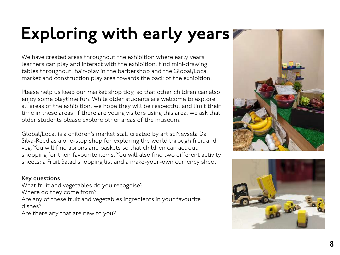### Exploring with early years

We have created areas throughout the exhibition where early years learners can play and interact with the exhibition. Find mini-drawing tables throughout, hair-play in the barbershop and the Global/Local market and construction play area towards the back of the exhibition.

Please help us keep our market shop tidy, so that other children can also enjoy some playtime fun. While older students are welcome to explore all areas of the exhibition, we hope they will be respectful and limit their time in these areas. If there are young visitors using this area, we ask that older students please explore other areas of the museum.

Global/Local is a children's market stall created by artist Neysela Da Silva-Reed as a one-stop shop for exploring the world through fruit and veg. You will find aprons and baskets so that children can act out shopping for their favourite items. You will also find two diferent activity sheets: a Fruit Salad shopping list and a make-your-own currency sheet.

#### Key questions

What fruit and vegetables do you recognise? Where do they come from? Are any of these fruit and vegetables ingredients in your favourite dishes?

Are there any that are new to you?



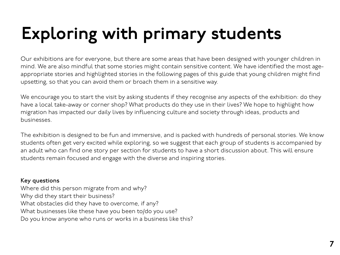## Exploring with primary students

Our exhibitions are for everyone, but there are some areas that have been designed with younger children in mind. We are also mindful that some stories might contain sensitive content. We have identified the most ageappropriate stories and highlighted stories in the following pages of this guide that young children might find upseting, so that you can avoid them or broach them in a sensitive way.

We encourage you to start the visit by asking students if they recognise any aspects of the exhibition: do they have a local take-away or corner shop? What products do they use in their lives? We hope to highlight how migration has impacted our daily lives by influencing culture and society through ideas, products and businesses.

The exhibition is designed to be fun and immersive, and is packed with hundreds of personal stories. We know students often get very excited while exploring, so we suggest that each group of students is accompanied by an adult who can find one story per section for students to have a short discussion about. This will ensure students remain focused and engage with the diverse and inspiring stories.

#### Key questions

Where did this person migrate from and why? Why did they start their business? What obstacles did they have to overcome, if any? What businesses like these have you been to/do you use? Do you know anyone who runs or works in a business like this?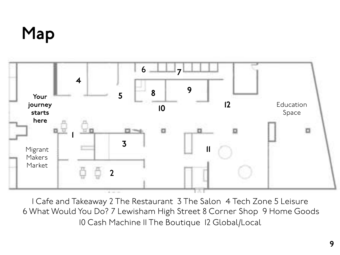### Map



1 Cafe and Takeaway 2 The Restaurant 3 The Salon 4 Tech Zone 5 Leisure 6 What Would You Do? 7 Lewisham High Street 8 Corner Shop 9 Home Goods 10 Cash Machine 11 The Boutique 12 Global/Local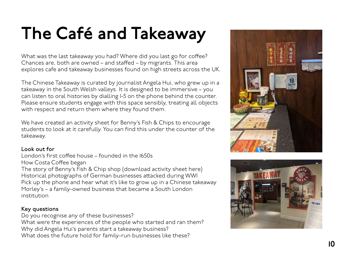### The Café and Takeaway

What was the last takeaway you had? Where did you last go for co fee? Chances are, both are owned – and sta fed – by migrants. This area explores cafe and takeaway businesses found on high streets across the UK.

The Chinese Takeaway is curated by journalist Angela Hui, who grew up in a takeaway in the South Welsh valleys. It is designed to be immersive – you can listen to oral histories by dialling 1-5 on the phone behind the counter. Please ensure students engage with this space sensibly, treating all objects with respect and return them where they found them.

We have created an activity sheet for Benny's Fish & Chips to encourage students to look at it carefully. You can find this under the counter of the takeaway.

#### Look out for

London's first co fee house – founded in the 1650s How Costa Co fee began The story of Benny's Fish & Chip shop (download activity sheet here) Historical photographs of German businesses a tacked during WWI Pick up the phone and hear what it's like to grow up in a Chinese takeaway Morley's – a family-owned business that became a South London institution

#### Key questions

Do you recognise any of these businesses? What were the experiences of the people who started and ran them? Why did Angela Hui's parents start a takeaway business? What does the future hold for family-run businesses like these?



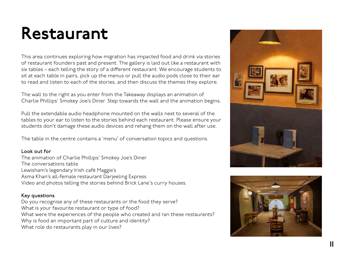### Restaurant

This area continues exploring how migration has impacted food and drink via stories of restaurant founders past and present. The gallery is laid out like a restaurant with six tables – each telling the story of a diferent restaurant. We encourage students to sit at each table in pairs, pick up the menus or pull the audio pods close to their ear to read and listen to each of the stories, and then discuss the themes they explore.

The wall to the right as you enter from the Takeaway displays an animation of Charlie Phillips' Smokey Joe's Diner. Step towards the wall and the animation begins.

Pull the extendable audio headphone mounted on the walls next to several of the tables to your ear to listen to the stories behind each restaurant. Please ensure your students don't damage these audio devices and rehang them on the wall after use.

The table in the centre contains a 'menu' of conversation topics and questions.

#### Look out for

The animation of Charlie Phillips' Smokey Joe's Diner The conversations table Lewisham's legendary Irish café Maggie's Asma Khan's all-female restaurant Darjeeling Express Video and photos telling the stories behind Brick Lane's curry houses.

#### Key questions

Do you recognise any of these restaurants or the food they serve? What is your favourite restaurant or type of food? What were the experiences of the people who created and ran these restaurants? Why is food an important part of culture and identity? What role do restaurants play in our lives?



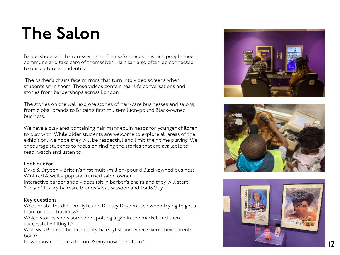### The Salon

Barbershops and hairdressers are often safe spaces in which people meet, commune and take care of themselves. Hair can also often be connected to our culture and identity.

 The barber's chairs face mirrors that turn into video screens when students sit in them. These videos contain real-life conversations and stories from barbershops across London

The stories on the wall explore stories of hair-care businesses and salons, from global brands to Britain's first multi-million-pound Black-owned business.

We have a play area containing hair mannequin heads for younger children to play with. While older students are welcome to explore all areas of the exhibition, we hope they will be respectful and limit their time playing. We encourage students to focus on finding the stories that are available to read, watch and listen to.

#### Look out for

Dyke & Dryden – Britain's first multi-million-pound Black-owned business Winifred Atwell – pop star turned salon owner Interactive barber shop videos (sit in barber's chairs and they will start) Story of luxury haircare brands Vidal Sassoon and Toni&Guy.

#### Key questions

What obstacles did Len Dyke and Dudley Dryden face when trying to get a loan for their business?

Which stories show someone spotting a gap in the market and then successfully filling it?

Who was Britain's first celebrity hairstylist and where were their parents born?

How many countries do Toni & Guy now operate in? 12





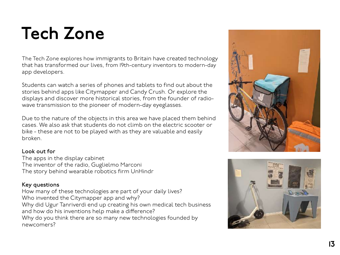### Tech Zone

The Tech Zone explores how immigrants to Britain have created technology that has transformed our lives, from 19th-century inventors to modern-day app developers.

Students can watch a series of phones and tablets to find out about the stories behind apps like Citymapper and Candy Crush. Or explore the displays and discover more historical stories, from the founder of radiowave transmission to the pioneer of modern-day eyeglasses.

Due to the nature of the objects in this area we have placed them behind cases. We also ask that students do not climb on the electric scooter or bike - these are not to be played with as they are valuable and easily broken.

#### Look out for

The apps in the display cabinet The inventor of the radio, Guglielmo Marconi The story behind wearable robotics firm UnHindr

#### Key questions

How many of these technologies are part of your daily lives? Who invented the Citymapper app and why? Why did Ugur Tanriverdi end up creating his own medical tech business and how do his inventions help make a diference? Why do you think there are so many new technologies founded by newcomers?



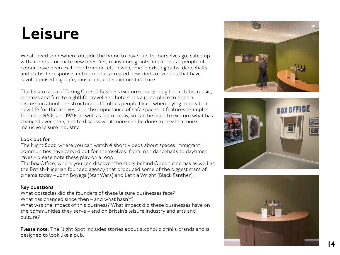### Leisure

We all need somewhere outside the home to have fun, let ourselves go, catch up with friends – or make new ones. Yet, many immigrants, in particular people of colour, have been excluded from or felt unwelcome in existing pubs, dancehalls and clubs. In response, entrepreneurs created new kinds of venues that have revolutionised nightlife, music and entertainment culture.

The leisure area of Taking Care of Business explores everything from clubs, music, cinemas and film to nightlife, travel and hotels. It's a good place to open a discussion about the structural difficulties people faced when trying to create a new life for themselves, and the importance of safe spaces. It features examples from the 1960s and 1970s as well as from today, so can be used to explore what has changed over time, and to discuss what more can be done to create a more inclusive leisure industry.

#### Look out for

The Night Spot, where you can watch 4 short videos about spaces immigrant communities have carved out for themselves: from Irish dancehalls to daytimer raves - please note these play on a loop.

The Box O fice, where you can discover the story behind Odeon cinemas as well as the British-Nigerian founded agency that produced some of the biggest stars of cinema today – John Boyega (Star Wars) and Letitia Wright (Black Panther).

#### Key questions

What obstacles did the founders of these leisure businesses face?

What has changed since then – and what hasn't?

What was the impact of this business? What impact did these businesses have on the communities they serve – and on Britain's leisure industry and arts and culture?

Please note: The Night Spot includes stories about alcoholic drinks brands and is designed to look like a pub.





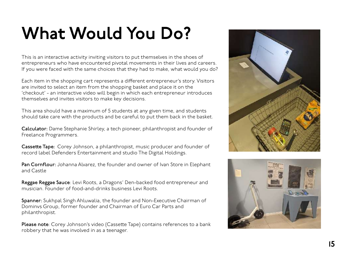### What Would You Do?

This is an interactive activity inviting visitors to put themselves in the shoes of entrepreneurs who have encountered pivotal movements in their lives and careers. If you were faced with the same choices that they had to make, what would you do?

Each item in the shopping cart represents a diferent entrepreneur's story. Visitors are invited to select an item from the shopping basket and place it on the 'checkout' - an interactive video will begin in which each entrepreneur introduces themselves and invites visitors to make key decisions.

This area should have a maximum of 5 students at any given time, and students should take care with the products and be careful to put them back in the basket.

Calculator: Dame Stephanie Shirley, a tech pioneer, philanthropist and founder of Freelance Programmers.

**Cassette Tape:** Corey Johnson, a philanthropist, music producer and founder of record label Defenders Entertainment and studio The Digital Holdings.

Pan Cornflour: Johanna Alvarez, the founder and owner of Ivan Store in Elephant and Castle

Reggae Reggae Sauce: Levi Roots, a Dragons' Den-backed food entrepreneur and musician. Founder of food-and-drinks business Levi Roots.

Spanner: Sukhpal Singh Ahluwalia, the founder and Non-Executive Chairman of Dominvs Group, former founder and Chairman of Euro Car Parts and philanthropist.

Please note: Corey Johnson's video (Cassette Tape) contains references to a bank robbery that he was involved in as a teenager.



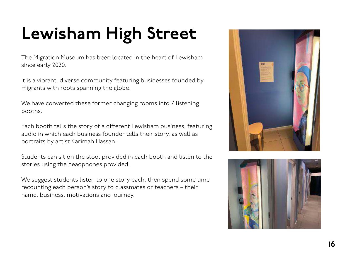## Lewisham High Street

The Migration Museum has been located in the heart of Lewisham since early 2020.

It is a vibrant, diverse community featuring businesses founded by migrants with roots spanning the globe.

We have converted these former changing rooms into 7 listening booths.

Each booth tells the story of a diferent Lewisham business, featuring audio in which each business founder tells their story, as well as portraits by artist Karimah Hassan.

Students can sit on the stool provided in each booth and listen to the stories using the headphones provided.

We suggest students listen to one story each, then spend some time recounting each person's story to classmates or teachers – their name, business, motivations and journey.



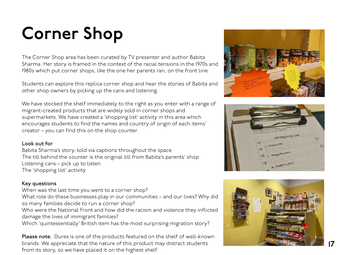## Corner Shop

The Corner Shop area has been curated by TV presenter and author Babita Sharma. Her story is framed in the context of the racial tensions in the 1970s and 1980s which put corner shops, like the one her parents ran, on the front line.

Students can explore this replica corner shop and hear the stories of Babita and other shop owners by picking up the cans and listening.

We have stocked the shelf immediately to the right as you enter with a range of migrant-created products that are widely sold in corner shops and supermarkets. We have created a 'shopping list' activity in this area which encourages students to find the names and country of origin of each items' creator – you can find this on the shop counter.

#### Look out for

Babita Sharma's story, told via captions throughout the space The till behind the counter is the original till from Babita's parents' shop Listening cans – pick up to listen The 'shopping list' activity

#### Key questions

When was the last time you went to a corner shop?

What role do these businesses play in our communities – and our lives? Why did so many families decide to run a corner shop?

Who were the National Front and how did the racism and violence they inflicted damage the lives of immigrant families?

Which 'quintessentially' British item has the most surprising migration story?

Please note: Durex is one of the products featured on the shelf of well-known brands. We appreciate that the nature of this product may distract students from its story, so we have placed it on the highest shelf.





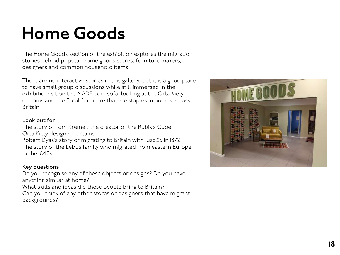### Home Goods

The Home Goods section of the exhibition explores the migration stories behind popular home goods stores, furniture makers, designers and common household items.

There are no interactive stories in this gallery, but it is a good place to have small group discussions while still immersed in the exhibition: sit on the MADE.com sofa, looking at the Orla Kiely curtains and the Ercol furniture that are staples in homes across Britain.

#### Look out for

The story of Tom Kremer, the creator of the Rubik's Cube. Orla Kiely designer curtains Robert Dyas's story of migrating to Britain with just £5 in 1872 The story of the Lebus family who migrated from eastern Europe in the 1840s.

#### Key questions

Do you recognise any of these objects or designs? Do you have anything similar at home?

What skills and ideas did these people bring to Britain?

Can you think of any other stores or designers that have migrant backgrounds?

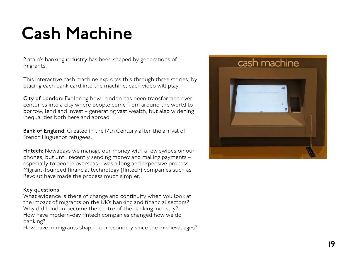### Cash Machine

Britain's banking industry has been shaped by generations of migrants.

This interactive cash machine explores this through three stories; by placing each bank card into the machine, each video will play.

City of London: Exploring how London has been transformed over centuries into a city where people come from around the world to borrow, lend and invest – generating vast wealth, but also widening inequalities both here and abroad.

Bank of England: Created in the I7th Century after the arrival of French Huguenot refugees.

Fintech: Nowadays we manage our money with a few swipes on our phones, but until recently sending money and making payments – especially to people overseas – was a long and expensive process. Migrant-founded financial technology (fintech) companies such as Revolut have made the process much simpler.

#### Key questions

What evidence is there of change and continuity when you look at the impact of migrants on the UK's banking and financial sectors? Why did London become the centre of the banking industry? How have modern-day fintech companies changed how we do banking?

How have immigrants shaped our economy since the medieval ages?

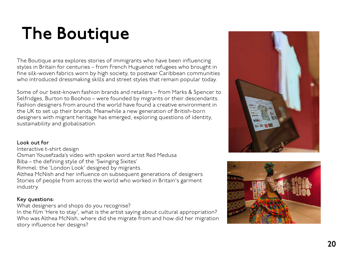### The Boutique

The Boutique area explores stories of immigrants who have been influencing styles in Britain for centuries – from French Huguenot refugees who brought in fine silk-woven fabrics worn by high society, to postwar Caribbean communities who introduced dressmaking skills and street styles that remain popular today.

Some of our best-known fashion brands and retailers – from Marks & Spencer to Selfridges, Burton to Boohoo – were founded by migrants or their descendants. Fashion designers from around the world have found a creative environment in the UK to set up their brands. Meanwhile a new generation of British-born designers with migrant heritage has emerged, exploring questions of identity, sustainability and globalisation.

#### Look out for

Interactive t-shirt design

Osman Yousefzada's video with spoken word artist Red Medusa

Biba – the defining style of the 'Swinging Sixites'

Rimmel: the 'London Look' designed by migrants.

Althea McNish and her influence on subsequent generations of designers Stories of people from across the world who worked in Britain's garment industry.

#### Key questions:

What designers and shops do you recognise?

In the film 'Here to stay', what is the artist saying about cultural appropriation? Who was Althea McNish, where did she migrate from and how did her migration story influence her designs?



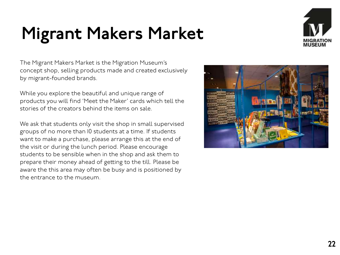### Migrant Makers Market



The Migrant Makers Market is the Migration Museum's concept shop, selling products made and created exclusively by migrant-founded brands.

While you explore the beautiful and unique range of products you will find 'Meet the Maker' cards which tell the stories of the creators behind the items on sale.

We ask that students only visit the shop in small supervised groups of no more than 10 students at a time. If students want to make a purchase, please arrange this at the end of the visit or during the lunch period. Please encourage students to be sensible when in the shop and ask them to prepare their money ahead of geting to the till. Please be aware the this area may often be busy and is positioned by the entrance to the museum.

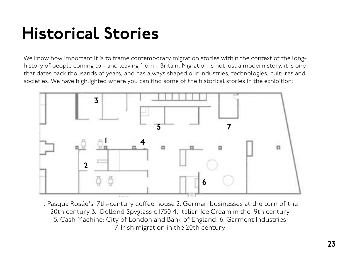### Historical Stories

We know how important it is to frame contemporary migration stories within the context of the longhistory of people coming to – and leaving from – Britain. Migration is not just a modern story, it is one that dates back thousands of years, and has always shaped our industries, technologies, cultures and societies. We have highlighted where you can find some of the historical stories in the exhibition:



1. Pasqua Rosée's 17th-century cofee house 2. German businesses at the turn of the 20th century 3. Dollond Spyglass c.1750 4. Italian Ice Cream in the 19th century 5. Cash Machine: City of London and Bank of England. 6. Garment Industries 7. Irish migration in the 20th century